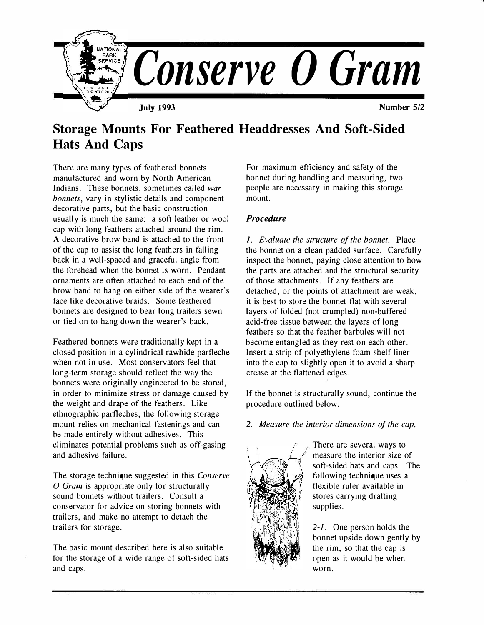

# **Storage Mounts For Feathered Headdresses And Soft-Sided Hats And Caps**

There are many types of feathered bonnets manufactured and worn by North American Indians. These bonnets, sometimes called *war bonnets,* vary in stylistic details and component decorative parts, but the basic construction usually is much the same: a soft leather or wool cap with long feathers attached around the rim. A decorative brow band is attached to the front of the cap to assist the long feathers in falling back in a well-spaced and graceful angle from the forehead when the bonnet is worn. Pendant ornaments are often attached to each end of the brow band to hang on either side of the wearer's face like decorative braids. Some feathered bonnets are designed to bear long trailers sewn or tied on to hang down the wearer's back.

Feathered bonnets were traditionally kept in a closed position in a cylindrical rawhide parfleche when not in use. Most conservators feel that long-term storage should reflect the way the bonnets were originally engineered to be stored, in order to minimize stress or damage caused by the weight and drape of the feathers. Like ethnographic partleches, the following storage mount relies on mechanical fastenings and can be made entirely without adhesives. This eliminates potential problems such as off-gasing and adhesive failure.

The storage technique suggested in this *Conserve 0 Gram* is appropriate only for structurally sound bonnets without trailers. Consult a conservator for advice on storing bonnets with trailers, and make no attempt to detach the trailers for storage.

The basic mount described here is also suitable for the storage of a wide range of soft-sided hats and caps.

For maximum efficiency and safety of the bonnet during handling and measuring, two people are necessary in making this storage mount.

## *Procedure*

*I.* Evaluate the structure of the bonnet. Place the bonnet on a clean padded surface. Carefully inspect the bonnet, paying close attention to how the parts are attached and the structural security of those attachments. If any feathers are detached, or the points of attachment are weak, it is best to store the bonnet flat with several layers of folded (not crumpled) non-buffered acid-free tissue between the layers of long feathers so that the feather barbules will not become entangled as they rest on each other. Insert a strip of polyethylene foam shelf liner into the cap to slightly open it to avoid a sharp crease at the flattened edges.

If the bonnet is structurally sound, continue the procedure outlined below.

### *2. Measure the interior dimensions of the cap.*



There are several ways to measure the interior size of soft-sided hats and caps. The following technique uses a flexible ruler available in stores carrying drafting supplies.

*2-1.* One person holds the bonnet upside down gently by the rim, so that the cap is open as it would be when worn.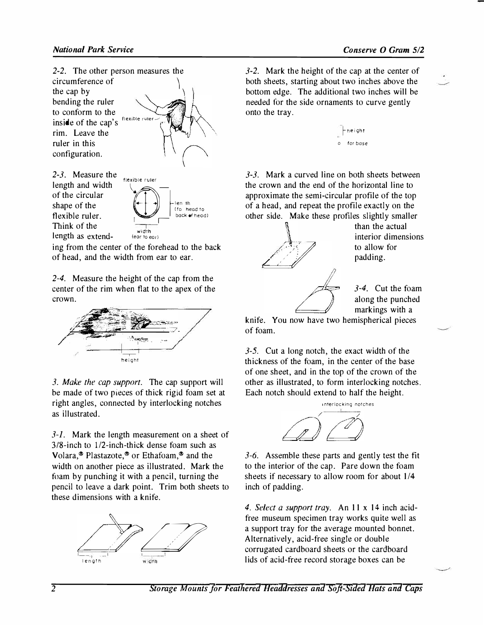

*2-3.* **Measure the length and width flexible ruler of the circular Think of the**  $\frac{1}{100}$ length as extend- (ear to ear)

**Shape of the circular**<br>
shape of the<br> **shape of the state of the state of the state of head to**<br> **Shape ruler.**  $\left(\begin{array}{c} \bullet \\ \bullet \end{array}\right)$   $\left[\begin{array}{c} \downarrow e_n & \text{th} \\ \downarrow f_0 & \text{head to} \\ \text{back of head to} \end{array}\right]$ 

**ing from the center of the forehead to the back of head, and the width from ear to ear.** 

*2-4.* **Measure the height of the cap from the center of the rim when flat to the apex of the crown.** 



*3. Make the cap support.* **The cap support will be made of two pieces of thick rigid foam set at right angles, connected by interlocking notches as illustrated.** 

*3-1.* **Mark the length measurement on a sheet of 3/8-inch to 1/2-inch-thick dense foam such as Volara,® Plastazote,® or Ethafoam,® and the width on another piece as illustrated. Mark the foam by punching it with a pencil, turning the pencil to leave a dark point. Trim both sheets to these dimensions with a knife.** 



*3-2.* **Mark the height of the cap at the center of both sheets, starting about two inches above the bottom edge. The additional two inches will be needed for the side ornaments to curve gently onto the tray.** 



*3-3.* **Mark a curved line on both sheets between the crown and the end of the horizontal line to approximate the semi-circular profile of the top of a head, and repeat the profile exactly on the other side. Make these profiles slightly smaller** 



**than the actual interior dimensions to allow for padding.** 

*3-4.* **Cut the foam along the punched markings with a** 

**knife. You now have two hemispherical pieces of foam.** 

*3-5.* **Cut a long notch, the exact width of the thickness of the foam, in the center of the base of one sheet, and in the top of the crown of the other as illustrated, to form interlocking notches. Each notch should extend to half the height.** 



*3-6.* **Assemble these parts and gently test the fit to the interior of the cap. Pare down the foam sheets if necessary to allow room for about 1/4 inch of padding.** 

*4. Select a support tray.* **An 11 x 14 inch acidfree museum specimen tray works quite well as a support tray for the average mounted bonnet. Alternatively, acid-free single or double corrugated cardboard sheets or the cardboard lids of acid-free record storage boxes can be**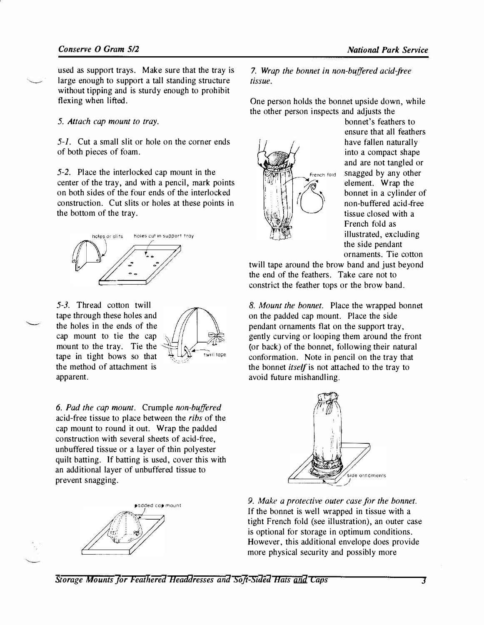**used** *a***s supp***or***t t***ra***ys. M***ak***e su***r***e th***a***t the t***ra***y** *i***s**  large enough to support a tall standing structure without tipping and is sturdy enough to prohibit **flex***ing* **whe***n li***fted.** 

#### *5. Attach cap mount to tray.*

*5-1. C***ut** *a* **sm***all* **s***li***t** *or* **h***ol***e** *on* **the c***orn***e***r* **e***n***ds**  *of bo***th p***i***eces** *of* **fo***a***m.** 

*5-2.* **P***la***ce the** *in***te***rlo***c***k***ed c***a***p m***o***u***n***t** *in* **the ce***n***te***r of* **the t***ra***y,** *an***d w***i***th** *a* **pe***n***c***il***, m***ark* **p***oin***ts**  *on bo***th s***i***des** *of* **the f***o***u***r* **e***n***ds** *of* **the** *in***te***rlo***c***k***ed c***on***st***r***uct***ion***.** *C***ut s***li***ts** *or* **h***ol***es** *a***t these p***oin***ts** *in*  **the** *bo***tt***o***m** *of* **the t***ra***y.** 



*5-3.* **Th***r***e***a***d c***o***tt***on* **tw***ill*  **t***a***pe th***ro***u***g***h these h***ol***es** *an***d the h***ol***es** *in* **the e***n***ds** *of* **the c***a***p m***o***u***n***t t***o* **t***i***e the c***a***p m***o***u***n***t t***o* **the t***ra***y. T***i***e the t***a***pe i***n* **t***ig***ht** *bo***ws s***o* **th***a***t the meth***o***d** *of a***tt***a***chme***n***t** *i***s**  *a***pp***ar***e***n***t.** 



*6. Pad the cap mount. Cr***ump***l***e** *non-buffered a***c***i***d-***fr***ee t***i***ssue t***o* **p***la***ce** *b***etwee***n* **the** *ribs of* **the c***a***p m***o***u***n***t t***o ro***u***n***d** *i***t** *o***ut. W***ra***p the p***a***dded c***on***st***r***uct***ion* **w***i***th seve***ral* **sheets** *of a***c***i***d-free, u***nb***u***ff***e***r***ed t***i***ssue** *or a la***ye***r of* **th***in* **p***ol***yeste***r*  **qu***il***t** *ba***tt***ing***. I***f ba***tt***ing i***s used, c***o***ve***r* **th***i***s w***i***th**  *an a***dd***i***t***ional la***ye***r of* **u***nb***u***ff***e***r***ed t***i***ssue t***o*  **p***r***eve***n***t s***nagging***.** 



7. *Wrap the bonnet in non-buffered acid-free tissue.* 

**O***n***e pe***r***s***on* **h***ol***ds the** *bonn***et ups***i***de d***o***w***n***, wh***il***e the** *o***the***r* **pe***r***s***on in***spects** *an***d** *a***djusts the** 



*bonn***et's** *f***e***a***the***r***s t***o*  **e***n***su***r***e th***a***t** *all* **fe***a***the***r***s h***a***ve fa***ll***e***n na***tu***ra***l***l***y**  *in***t***o a* **c***o***mp***a***ct sh***a***pe**  *an***d** *ar***e** *no***t t***angl***ed** *or*  French fold **S***nagg***ed** *b***y** *an***y Othe***r*  **e***l***eme***n***t. W***ra***p the**  *bonn***et** *in a* **cy***lin***de***r of non***-***b***u***ff***e***r***ed** *a***c***i***d -free t***i***ssue c***lo***sed w***i***th** *a*  **F***r***e***n***ch f***o***ld** *a***s**  *ill***ust***ra***ted, exclud***ing*  **the s***i***de pe***n***d***an***t**  *orna***me***n***ts. T***i***e c***o***tt***on* 

**tw***ill* **t***a***pe** *aro***u***n***d the** *bro***w** *ban***d** *an***d just** *b***ey***on***d the e***n***d** *of* **the** *f***e***a***the***r***s. T***ak***e c***ar***e** *no***t t***o*  **c***on***st***ri***ct the** *f***e***a***the***r* **t***o***ps** *or* **the** *bro***w** *ban***d.** 

*8. Mount the bonnet.* **P***la***ce the w***ra***pped** *bonn***et**  *on* **the p***a***dded c***a***p m***o***u***n***t. Pl***a***ce the s***i***de pe***n***d***an***t** *orna***me***n***ts fl***a***t** *on* **the supp***or***t t***ra***y,**  *g***e***n***t***l***y cu***r***v***ing or loo***p***ing* **them** *aro***u***n***d the fr***on***t (***or ba***c***k***)** *of* **the** *bonn***et,** *f***o***llo***w***ing* **the***ir na***tu***ral*  **c***on***fo***r***m***a***t***ion***. N***o***te** *in* **pe***n***c***il on* **the t***ra***y th***a***t the** *bonn***et** *itself i***s** *no***t** *a***tt***a***ched t***o* **the t***ra***y t***o a***v***oi***d futu***r***e m***i***sh***an***d***ling***.** 



*9. Make a protective outer case for the bonnet.*  **I***f* **the** *bonn***et** *i***s we***ll* **w***ra***pped** *in* **t***i***ssue w***i***th** *a*  tight French fold (see illustration), an outer case *i***s** *o***pt***ional* **fo***r* **st***orag***e** *in o***pt***i***mum c***on***d***i***t***ion***s. H***o***weve***r***, th***i***s** *a***dd***i***t***ional* **e***n***ve***lo***pe d***o***es p***ro***v***i***de m***or***e phys***i***c***al* **secu***ri***ty** *an***d p***o***ss***ibl***y m***or***e**